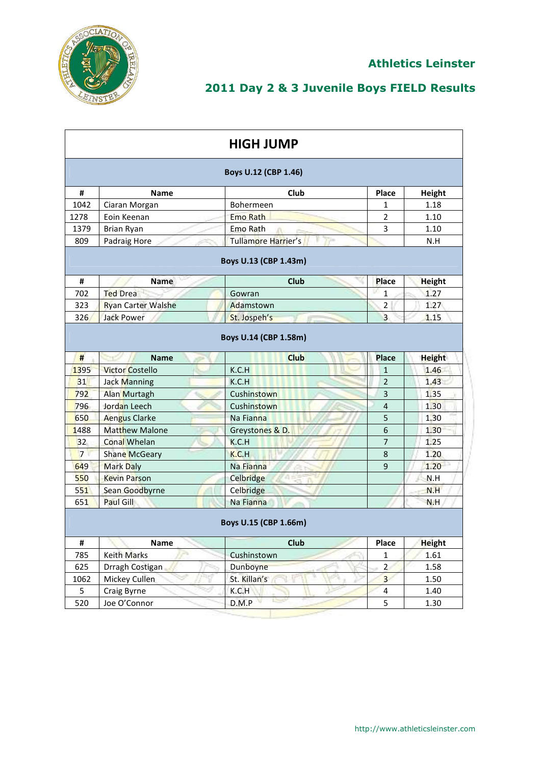

| <b>HIGH JUMP</b> |                           |                           |                |               |  |  |
|------------------|---------------------------|---------------------------|----------------|---------------|--|--|
|                  | Boys U.12 (CBP 1.46)      |                           |                |               |  |  |
| #                | <b>Name</b>               | Club                      | Place          | Height        |  |  |
| 1042             | Ciaran Morgan             | <b>Bohermeen</b>          | 1              | 1.18          |  |  |
| 1278             | Eoin Keenan               | <b>Emo Rath</b>           | $\overline{2}$ | 1.10          |  |  |
| 1379             | Brian Ryan                | Emo Rath                  | 3              | 1.10          |  |  |
| 809              | Padraig Hore              | Tullamore Harrier's<br>ņн |                | N.H           |  |  |
|                  |                           | Boys U.13 (CBP 1.43m)     |                |               |  |  |
| #                | Name                      | <b>Club</b>               | Place          | <b>Height</b> |  |  |
| 702              | <b>Ted Drea</b>           | Gowran                    | $\mathbf{1}$   | 1.27          |  |  |
| 323              | <b>Ryan Carter Walshe</b> | Adamstown                 | 2              | 1.27          |  |  |
| 326              | <b>Jack Power</b>         | St. Jospeh's              | 3              | 1.15          |  |  |
|                  |                           | Boys U.14 (CBP 1.58m)     |                |               |  |  |
| #                | <b>Name</b>               | <b>Club</b>               | <b>Place</b>   | <b>Height</b> |  |  |
| 1395             | <b>Victor Costello</b>    | K.C.H                     | $\mathbf{1}$   | 1.46          |  |  |
| 31               | <b>Jack Manning</b>       | K.C.H                     | $\overline{2}$ | 1.43          |  |  |
| 792              | <b>Alan Murtagh</b>       | Cushinstown               | 3              | 1.35          |  |  |
| 796              | Jordan Leech              | Cushinstown               | $\overline{4}$ | 1.30          |  |  |
| 650              | <b>Aengus Clarke</b>      | Na Fianna                 | 5              | 1.30          |  |  |
| 1488             | <b>Matthew Malone</b>     | Greystones & D.           | 6              | 1.30          |  |  |
| 32               | <b>Conal Whelan</b>       | K.C.H                     | $\overline{7}$ | 1.25          |  |  |
| $7^{\circ}$      | Shane McGeary             | K.C.H                     | 8              | 1.20          |  |  |
| 649              | <b>Mark Daly</b>          | Na Fianna                 | 9              | 1.20          |  |  |
| 550              | <b>Kevin Parson</b>       | Celbridge                 |                | N.H           |  |  |
| 551              | Sean Goodbyrne            | Celbridge                 |                | N.H           |  |  |
| 651              | <b>Paul Gill</b>          | Na Fianna                 |                | N.H           |  |  |
|                  |                           | Boys U.15 (CBP 1.66m)     |                |               |  |  |
| #                | Name                      | Club                      | Place          | <b>Height</b> |  |  |
| 785              | <b>Keith Marks</b>        | Cushinstown               | $\mathbf{1}$   | 1.61          |  |  |
| 625              | Drragh Costigan           | Dunboyne                  | $\overline{a}$ | 1.58          |  |  |
| 1062             | Mickey Cullen             | St. Killan's              | $\overline{3}$ | 1.50          |  |  |
| 5                | Craig Byrne               | K.C.H                     | $\overline{4}$ | 1.40          |  |  |
| 520              | Joe O'Connor              | D.M.P                     | 5              | 1.30          |  |  |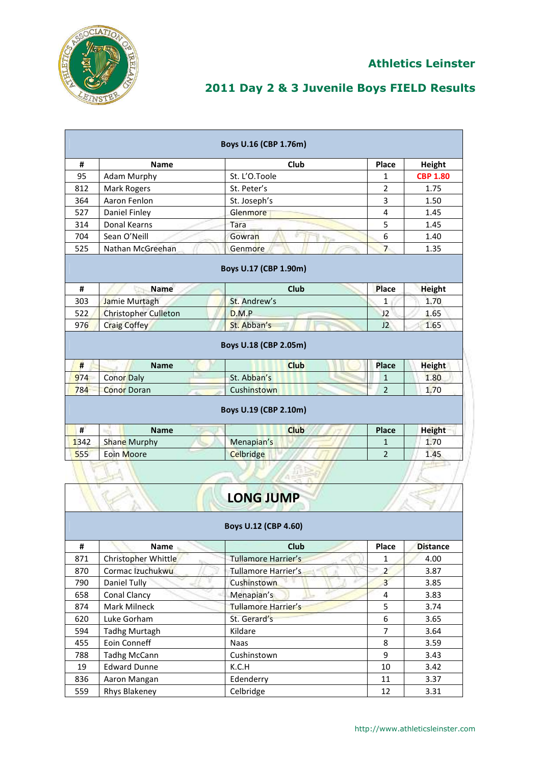

|      |                             | Boys U.16 (CBP 1.76m)                |                |                 |
|------|-----------------------------|--------------------------------------|----------------|-----------------|
| #    | <b>Name</b>                 | Club                                 | Place          | Height          |
| 95   | <b>Adam Murphy</b>          | St. L'O.Toole                        | 1              | <b>CBP 1.80</b> |
| 812  | <b>Mark Rogers</b>          | St. Peter's                          | $\overline{2}$ | 1.75            |
| 364  | Aaron Fenlon                | St. Joseph's                         | 3              | 1.50            |
| 527  | Daniel Finley               | Glenmore                             | 4              | 1.45            |
| 314  | Donal Kearns                | Tara                                 | 5              | 1.45            |
| 704  | Sean O'Neill                | Gowran                               | 6              | 1.40            |
| 525  | Nathan McGreehan            | Genmore                              | $\overline{7}$ | 1.35            |
|      |                             | Boys U.17 (CBP 1.90m)                |                |                 |
| #    | <b>Name</b>                 | <b>Club</b>                          | Place          | <b>Height</b>   |
| 303  | Jamie Murtagh               | St. Andrew's                         | 1              | 1.70            |
| 522  | <b>Christopher Culleton</b> | D.M.P                                | J2             | 1.65            |
| 976  | <b>Craig Coffey</b>         | St. Abban's                          | J2             | 1.65            |
|      |                             | Boys U.18 (CBP 2.05m)                |                |                 |
| #    | <b>Name</b>                 | <b>Club</b>                          | Place          | <b>Height</b>   |
| 974  | <b>Conor Daly</b>           | St. Abban's                          | 1              | 1.80            |
| 784  | <b>Conor Doran</b>          | Cushinstown                          | $\overline{2}$ | 1.70            |
| #    | <b>Name</b>                 | Boys U.19 (CBP 2.10m)<br><b>Club</b> | <b>Place</b>   | <b>Height</b>   |
| 1342 | Shane Murphy                | Menapian's                           | $\mathbf{1}$   | 1.70            |
| 555  | Eoin Moore                  | <b>Celbridge</b>                     | $\overline{2}$ | 1.45            |
|      |                             | <b>LONG JUMP</b>                     |                |                 |
|      |                             | Boys U.12 (CBP 4.60)                 |                |                 |
| #    | Name                        | Club                                 | Place          | <b>Distance</b> |
| 871  | Christopher Whittle         | Tullamore Harrier's                  | 1              | 4.00            |
| 870  | Cormac Izuchukwu            | <b>Tullamore Harrier's</b>           | $\overline{2}$ | 3.87            |
| 790  | Daniel Tully                | <b>Cushinstown</b>                   | $\overline{3}$ | 3.85            |
| 658  | Conal Clancy                | Menapian's                           | 4              | 3.83            |
| 874  | Mark Milneck                | Tullamore Harrier's                  | 5              | 3.74            |
| 620  | Luke Gorham                 | St. Gerard's                         | 6              | 3.65            |
| 594  | <b>Tadhg Murtagh</b>        | Kildare                              | $\overline{7}$ | 3.64            |
| 455  | Eoin Conneff                | Naas                                 | 8              | 3.59            |
| 788  | <b>Tadhg McCann</b>         | Cushinstown                          | 9              | 3.43            |
| 19   | <b>Edward Dunne</b>         | K.C.H                                | $10\,$         | 3.42            |
| 836  | Aaron Mangan                | Edenderry                            | 11             | 3.37            |
| 559  | Rhys Blakeney               | Celbridge                            | 12             | 3.31            |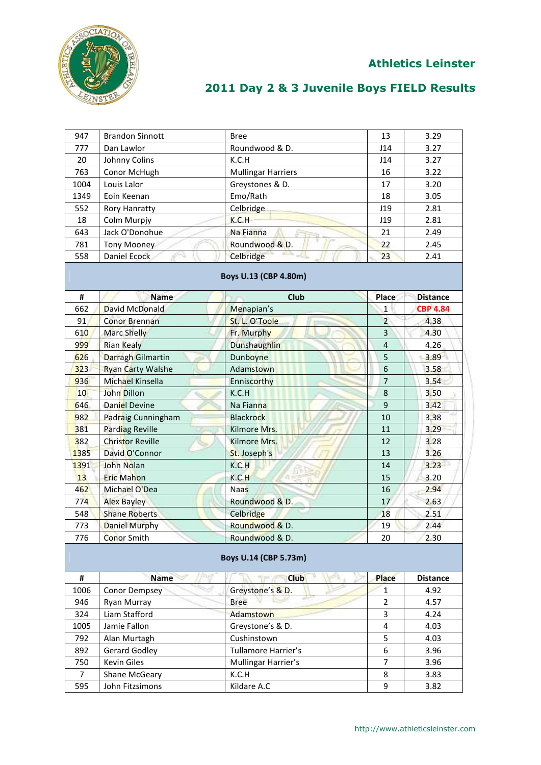

| 947  | <b>Brandon Sinnott</b>   | <b>Bree</b>               | 13               | 3.29            |
|------|--------------------------|---------------------------|------------------|-----------------|
| 777  | Dan Lawlor               | Roundwood & D.            | J14              | 3.27            |
| 20   | Johnny Colins            | K.C.H                     | J14              | 3.27            |
| 763  | Conor McHugh             | <b>Mullingar Harriers</b> | 16               | 3.22            |
| 1004 | Louis Lalor              | Greystones & D.           | 17               | 3.20            |
| 1349 | Eoin Keenan              | Emo/Rath                  | 18               | 3.05            |
| 552  | <b>Rory Hanratty</b>     | Celbridge                 | J19              | 2.81            |
| 18   | Colm Murpjy              | K.C.H                     | J19              | 2.81            |
| 643  | Jack O'Donohue           | Na Fianna                 | 21               | 2.49            |
| 781  | <b>Tony Mooney</b>       | Roundwood & D.            | 22               | 2.45            |
| 558  | Daniel Ecock             | Celbridge                 | 23               | 2.41            |
|      |                          | Boys U.13 (CBP 4.80m)     |                  |                 |
| #    | <b>Name</b>              | <b>Club</b>               | Place            | <b>Distance</b> |
| 662  | David McDonald           | Menapian's                | $\mathbf{1}$     | <b>CBP 4.84</b> |
| 91   | <b>Conor Brennan</b>     | St. L. O'Toole            | $\overline{2}$   | 4.38            |
| 610  | <b>Marc Shelly</b>       | Fr. Murphy                | 3                | 4.30            |
| 999  | <b>Rian Kealy</b>        | Dunshaughlin              | $\overline{4}$   | 4.26            |
| 626  | <b>Darragh Gilmartin</b> | Dunboyne                  | 5                | 3.89            |
| 323  | <b>Ryan Carty Walshe</b> | Adamstown                 | $\boldsymbol{6}$ | 3.58            |
| 936  | <b>Michael Kinsella</b>  | Enniscorthy               | $\overline{7}$   | 3.54            |
| 10   | John Dillon              | K.C.H                     | 8                | 3.50            |
| 646  | <b>Daniel Devine</b>     | Na Fianna                 | 9                | 3.42            |
| 982  | Padraig Cunningham       | <b>Blackrock</b>          | 10               | 3.38            |
| 381  | Pardiag Reville          | Kilmore Mrs.              | 11               | 3.29            |
| 382  | <b>Christor Reville</b>  | Kilmore Mrs.              | 12               | 3.28            |
| 1385 | David O'Connor           | St. Joseph's              | 13               | 3.26            |
| 1391 | <b>John Nolan</b>        | K.C.H                     | 14               | 3.23            |
| 13   | <b>Eric Mahon</b>        | K.C.H                     | 15               | 3.20            |
| 462  | Michael O'Dea            | <b>Naas</b>               | 16               | 2.94            |
| 774  | <b>Alex Bayley</b>       | Roundwood & D.            | 17               | 2.63            |
| 548  | <b>Shane Roberts</b>     | Celbridge                 | 18               | 2.51            |
| 773  | <b>Daniel Murphy</b>     | Roundwood & D.            | 19               | 2.44            |
| 776  | Conor Smith              | Roundwood & D.            | 20               | 2.30            |
|      |                          | Boys U.14 (CBP 5.73m)     |                  |                 |
| #    | <b>Name</b>              | <b>Club</b>               | Place            | <b>Distance</b> |
| 1006 | <b>Conor Dempsey</b>     | Greystone's & D.          | $\mathbf{1}$     | 4.92            |
| 946  | Ryan Murray              | <b>Bree</b>               | 2                | 4.57            |
| 324  | Liam Stafford            | Adamstown                 | 3                | 4.24            |
| 1005 | Jamie Fallon             | Greystone's & D.          | 4                | 4.03            |
| 792  | Alan Murtagh             | Cushinstown               | 5                | 4.03            |
| 892  | <b>Gerard Godley</b>     | Tullamore Harrier's       | 6                | 3.96            |
| 750  | Kevin Giles              | Mullingar Harrier's       | 7                | 3.96            |
| 7    | Shane McGeary            | K.C.H                     | 8                | 3.83            |
| 595  | John Fitzsimons          | Kildare A.C               | 9                | 3.82            |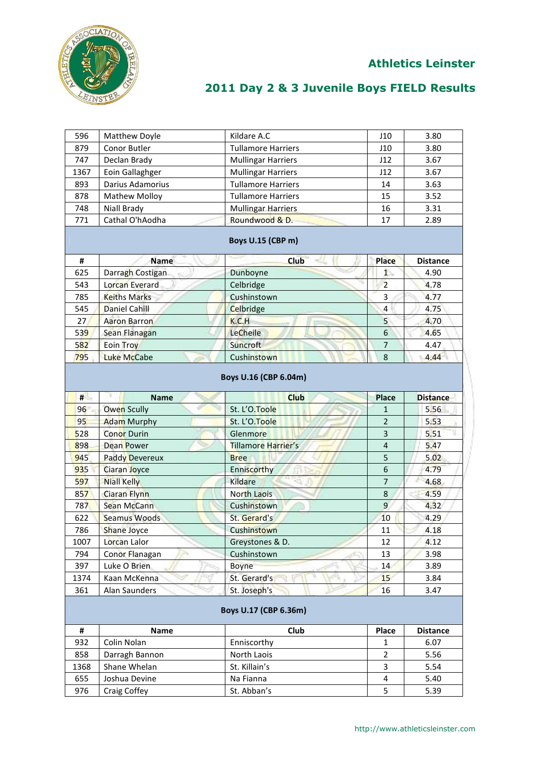

| 596  | Matthew Doyle         | Kildare A.C                          | J10            | 3.80            |
|------|-----------------------|--------------------------------------|----------------|-----------------|
| 879  | Conor Butler          | <b>Tullamore Harriers</b>            | J10            | 3.80            |
| 747  | Declan Brady          | <b>Mullingar Harriers</b>            | J12            | 3.67            |
| 1367 | Eoin Gallaghger       | <b>Mullingar Harriers</b>            | J12            | 3.67            |
| 893  | Darius Adamorius      | <b>Tullamore Harriers</b>            | 14             | 3.63            |
| 878  | <b>Mathew Molloy</b>  | <b>Tullamore Harriers</b>            | 15             | 3.52            |
| 748  | Niall Brady           | <b>Mullingar Harriers</b>            | 16             | 3.31            |
| 771  | Cathal O'hAodha       | Roundwood & D.                       | 17             | 2.89            |
|      |                       | Boys U.15 (CBP m)                    |                |                 |
| #    | <b>Name</b>           | <b>Club</b>                          | Place          | <b>Distance</b> |
| 625  | Darragh Costigan      | Dunboyne                             | 1              | 4.90            |
| 543  | Lorcan Everard        | Celbridge                            | $\overline{2}$ | 4.78            |
| 785  | <b>Keiths Marks</b>   | Cushinstown                          | 3              | 4.77            |
| 545  | <b>Daniel Cahill</b>  | Celbridge                            | 4              | 4.75            |
| 27   | <b>Aaron Barron</b>   | K.C.H                                | 5              | 4.70            |
| 539  | Sean Flanagan         | LeCheile                             | 6              | 4.65            |
| 582  | <b>Eoin Troy</b>      | Suncroft                             | $\overline{7}$ | 4.47            |
| 795  | <b>Luke McCabe</b>    | Cushinstown                          | 8              | 4.44            |
| #    | <b>Name</b>           | Boys U.16 (CBP 6.04m)<br><b>Club</b> | <b>Place</b>   | <b>Distance</b> |
| 96   | <b>Owen Scully</b>    | St. L'O.Toole                        | $\mathbf{1}$   | 5.56            |
| 95   | <b>Adam Murphy</b>    | St. L'O. Toole                       | $\overline{2}$ | 5.53            |
| 528  | <b>Conor Durin</b>    | Glenmore                             | 3              | 5.51            |
| 898  | <b>Dean Power</b>     | Tillamore Harrier's                  | 4              | 5.47            |
| 945  | <b>Paddy Devereux</b> | <b>Bree</b>                          | 5              | 5.02            |
| 935  | <b>Ciaran Joyce</b>   | Enniscorthy                          | 6              | 4.79            |
| 597  | <b>Niall Kelly</b>    | Kildare                              | 7              | 4.68            |
| 857  | <b>Ciaran Flynn</b>   | <b>North Laois</b>                   | 8              | 4.59            |
| 787  | Sean McCann           | Cushinstown                          | 9              | 4.32            |
| 622  | Seamus Woods          | St. Gerard's                         | 10             | 4.29            |
| 786  | <b>Shane Joyce</b>    | Cushinstown                          | 11             | 4.18            |
| 1007 | Lorcan Lalor          | Greystones & D.                      | 12             | 4.12            |
| 794  | Conor Flanagan        | Cushinstown                          | 13             | 3.98            |
| 397  | Luke O Brien          | <b>Boyne</b>                         | 14             | 3.89            |
| 1374 | Kaan McKenna          | St. Gerard's                         | 15             | 3.84            |
| 361  | Alan Saunders         | St. Joseph's                         | 16             | 3.47            |
|      |                       |                                      |                |                 |
|      |                       | Boys U.17 (CBP 6.36m)                |                |                 |
| #    | Name                  | Club                                 | Place          | <b>Distance</b> |
| 932  | Colin Nolan           | Enniscorthy                          | 1              | 6.07            |
| 858  | Darragh Bannon        | North Laois                          | $\overline{2}$ | 5.56            |
| 1368 | Shane Whelan          | St. Killain's                        | 3              | 5.54            |
| 655  | Joshua Devine         | Na Fianna                            | 4              | 5.40            |
| 976  | Craig Coffey          | St. Abban's                          | 5              | 5.39            |
|      |                       |                                      |                |                 |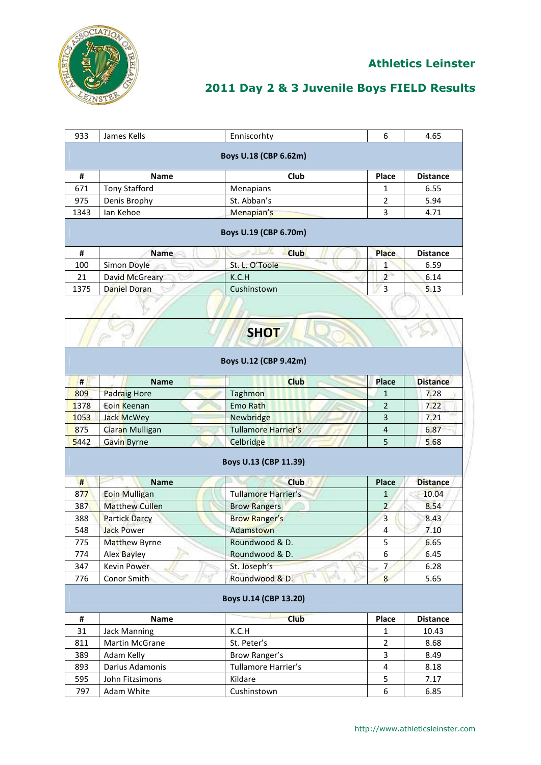

#### **Athletics Leinster**

### **2011 Day 2 & 3 Juvenile Boys FIELD Results**

| 933                   | James Kells          | Enniscorhty           | 6              | 4.65            |  |  |
|-----------------------|----------------------|-----------------------|----------------|-----------------|--|--|
|                       |                      |                       |                |                 |  |  |
| Boys U.18 (CBP 6.62m) |                      |                       |                |                 |  |  |
| #                     | <b>Name</b>          | Club                  | Place          | <b>Distance</b> |  |  |
| 671                   | <b>Tony Stafford</b> | Menapians             | 1              | 6.55            |  |  |
| 975                   | Denis Brophy         | St. Abban's           | 2              | 5.94            |  |  |
| 1343                  | lan Kehoe            | Menapian's            | 3              | 4.71            |  |  |
|                       |                      |                       |                |                 |  |  |
|                       |                      |                       |                |                 |  |  |
|                       |                      | Boys U.19 (CBP 6.70m) |                |                 |  |  |
| #                     | <b>Name</b>          | <b>Club</b>           | <b>Place</b>   | <b>Distance</b> |  |  |
| 100                   | Simon Doyle          | St. L. O'Toole        | 1              | 6.59            |  |  |
| 21                    | David McGreary       | K.C.H                 | $\overline{2}$ | 6.14            |  |  |
| 1375                  | Daniel Doran         | Cushinstown           | 3              | 5.13            |  |  |
|                       |                      |                       |                |                 |  |  |

|                       |                                                                                 | <b>SHOT</b>                |                |                 |  |  |  |
|-----------------------|---------------------------------------------------------------------------------|----------------------------|----------------|-----------------|--|--|--|
|                       | Boys U.12 (CBP 9.42m)                                                           |                            |                |                 |  |  |  |
| #                     | <b>Name</b>                                                                     | <b>Club</b>                | Place          | <b>Distance</b> |  |  |  |
| 809                   | Padraig Hore                                                                    | Taghmon                    | $\mathbf{1}$   | 7.28            |  |  |  |
| 1378                  | <b>Eoin Keenan</b>                                                              | Emo Rath                   | $\overline{2}$ | 7.22            |  |  |  |
| 1053                  | Jack McWey                                                                      | Newbridge                  | 3              | 7.21            |  |  |  |
| 875                   | Ciaran Mulligan                                                                 | <b>Tullamore Harrier's</b> | $\overline{4}$ | 6.87            |  |  |  |
| 5442                  | Gavin Byrne                                                                     | Celbridge                  | 5              | 5.68            |  |  |  |
| #                     | Boys U.13 (CBP 11.39)<br><b>Club</b><br>Place<br><b>Distance</b><br><b>Name</b> |                            |                |                 |  |  |  |
| 877                   | <b>Eoin Mulligan</b>                                                            | <b>Tullamore Harrier's</b> | $\mathbf{1}$   | 10.04           |  |  |  |
| 387                   | <b>Matthew Cullen</b>                                                           | <b>Brow Rangers</b>        | $\overline{2}$ | 8.54            |  |  |  |
| 388                   | <b>Partick Darcy</b>                                                            | <b>Brow Ranger's</b>       | $\overline{3}$ | 8.43            |  |  |  |
| 548                   | <b>Jack Power</b>                                                               | Adamstown                  | 4              | 7.10            |  |  |  |
| 775                   | Matthew Byrne                                                                   | Roundwood & D.             | 5              | 6.65            |  |  |  |
| 774                   | <b>Alex Bayley</b>                                                              | Roundwood & D.             | 6              | 6.45            |  |  |  |
| 347                   | <b>Kevin Power</b>                                                              | St. Joseph's               | 7              | 6.28            |  |  |  |
| 776                   | Conor Smith                                                                     | Roundwood & D.             | 8              | 5.65            |  |  |  |
| Boys U.14 (CBP 13.20) |                                                                                 |                            |                |                 |  |  |  |
| #                     | <b>Name</b>                                                                     | <b>Club</b>                | Place          | <b>Distance</b> |  |  |  |
| 31                    | <b>Jack Manning</b>                                                             | K.C.H                      | 1              | 10.43           |  |  |  |
| 811                   | <b>Martin McGrane</b>                                                           | St. Peter's                | $\overline{2}$ | 8.68            |  |  |  |

389 Adam Kelly **Brow Ranger's** 3 8.49 893 Darius Adamonis | Tullamore Harrier's | 4 | 8.18 595 John Fitzsimons | Kildare | 5 | 7.17 The Test of the Cushinstown Cushinstown 6 6.85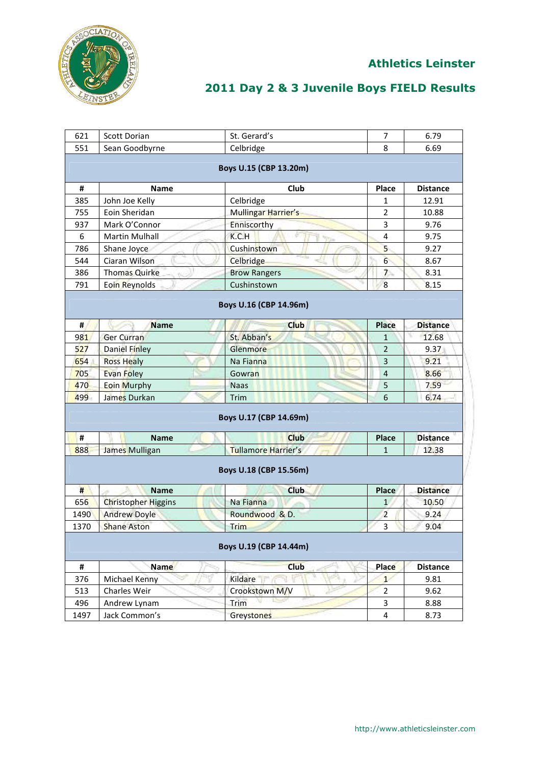

| 621            | Scott Dorian                         | St. Gerard's               | $\overline{7}$ | 6.79            |  |  |
|----------------|--------------------------------------|----------------------------|----------------|-----------------|--|--|
| 551            | Sean Goodbyrne                       | Celbridge                  | 8              | 6.69            |  |  |
|                |                                      |                            |                |                 |  |  |
|                |                                      | Boys U.15 (CBP 13.20m)     |                |                 |  |  |
| #              | <b>Name</b>                          | Club                       | Place          | <b>Distance</b> |  |  |
| 385            | John Joe Kelly                       | Celbridge                  | 1              | 12.91           |  |  |
| 755            | Eoin Sheridan                        | Mullingar Harrier's        | $\overline{2}$ | 10.88           |  |  |
| 937            | Mark O'Connor                        | Enniscorthy                | 3              | 9.76            |  |  |
| 6              | <b>Martin Mulhall</b>                | K.C.H                      | 4              | 9.75            |  |  |
| 786            | Shane Joyce                          | Cushinstown                | 5              | 9.27            |  |  |
| 544            | Ciaran Wilson                        | Celbridge                  | $6^{\circ}$    | 8.67            |  |  |
| 386            | <b>Thomas Quirke</b><br>$W_{\rm{m}}$ | <b>Brow Rangers</b>        | $\overline{7}$ | 8.31            |  |  |
| 791            | <b>Eoin Reynolds</b>                 | Cushinstown                | 8              | 8.15            |  |  |
|                |                                      |                            |                |                 |  |  |
|                |                                      | Boys U.16 (CBP 14.96m)     |                |                 |  |  |
| #              | <b>Name</b>                          | <b>Club</b>                | <b>Place</b>   | <b>Distance</b> |  |  |
| 981            | <b>Ger Curran</b>                    | St. Abban's                | $\mathbf{1}$   | 12.68           |  |  |
| 527            | <b>Daniel Finley</b>                 | Glenmore                   | $\overline{2}$ | 9.37            |  |  |
| 654            | <b>Ross Healy</b>                    | Na Fianna                  | $\overline{3}$ | 9.21            |  |  |
| 705            | Evan Foley                           | Gowran                     | $\overline{4}$ | 8.66            |  |  |
| 470            | <b>Eoin Murphy</b>                   | <b>Naas</b>                | 5              | 7.59            |  |  |
| 499            | James Durkan                         | Trim                       | 6              | 6.74            |  |  |
|                |                                      |                            |                |                 |  |  |
|                |                                      | Boys U.17 (CBP 14.69m)     |                |                 |  |  |
| $\pmb{\sharp}$ | <b>Name</b>                          | <b>Club</b>                | <b>Place</b>   | <b>Distance</b> |  |  |
| 888            | James Mulligan                       | <b>Tullamore Harrier's</b> | 1              | 12.38           |  |  |
|                |                                      |                            |                |                 |  |  |
|                |                                      | Boys U.18 (CBP 15.56m)     |                |                 |  |  |
| #              | <b>Name</b>                          | <b>Club</b>                | Place          | <b>Distance</b> |  |  |
| 656            | <b>Christopher Higgins</b>           | Na Fianna                  | $\mathbf{1}$   | 10.50           |  |  |
| 1490           | <b>Andrew Doyle</b>                  | Roundwood & D.             | $\overline{2}$ | 9.24            |  |  |
| 1370           | <b>Shane Aston</b>                   | Trim                       | $\overline{3}$ | 9.04            |  |  |
|                |                                      |                            |                |                 |  |  |
|                |                                      | Boys U.19 (CBP 14.44m)     |                |                 |  |  |
| #              | <b>Name</b>                          | <b>Club</b>                | Place          | <b>Distance</b> |  |  |
| 376            | Michael Kenny                        | Kildare                    | $\mathbf{1}$   | 9.81            |  |  |
| 513            | Charles Weir                         | Crookstown M/V             | $\overline{2}$ | 9.62            |  |  |
| 496            | Andrew Lynam                         | Trim                       | 3              | 8.88            |  |  |
| 1497           | Jack Common's                        | Greystones                 | 4              | 8.73            |  |  |
|                |                                      |                            |                |                 |  |  |